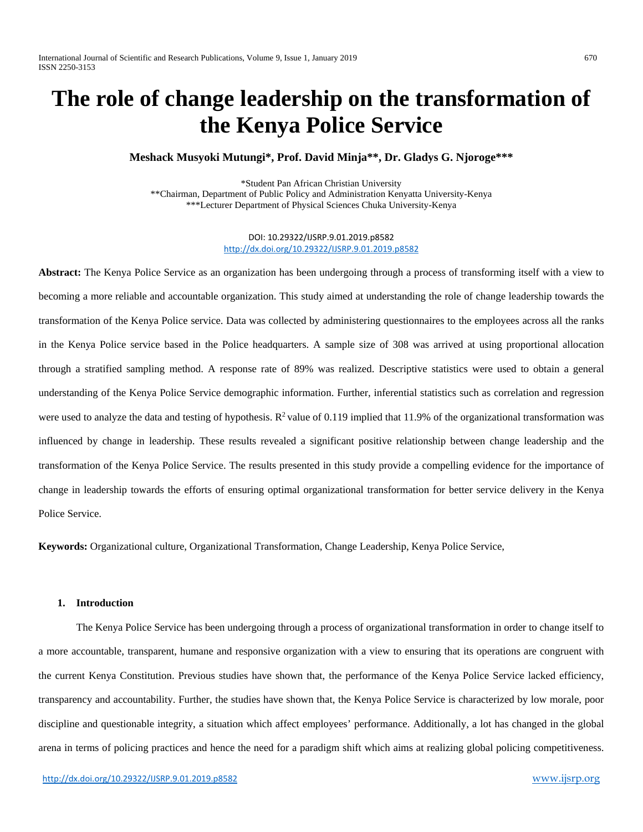# **The role of change leadership on the transformation of the Kenya Police Service**

# **Meshack Musyoki Mutungi\*, Prof. David Minja\*\*, Dr. Gladys G. Njoroge\*\*\***

\*Student Pan African Christian University \*\*Chairman, Department of Public Policy and Administration Kenyatta University-Kenya \*\*\*Lecturer Department of Physical Sciences Chuka University-Kenya

> DOI: 10.29322/IJSRP.9.01.2019.p8582 <http://dx.doi.org/10.29322/IJSRP.9.01.2019.p8582>

**Abstract:** The Kenya Police Service as an organization has been undergoing through a process of transforming itself with a view to becoming a more reliable and accountable organization. This study aimed at understanding the role of change leadership towards the transformation of the Kenya Police service. Data was collected by administering questionnaires to the employees across all the ranks in the Kenya Police service based in the Police headquarters. A sample size of 308 was arrived at using proportional allocation through a stratified sampling method. A response rate of 89% was realized. Descriptive statistics were used to obtain a general understanding of the Kenya Police Service demographic information. Further, inferential statistics such as correlation and regression were used to analyze the data and testing of hypothesis.  $R^2$  value of 0.119 implied that 11.9% of the organizational transformation was influenced by change in leadership. These results revealed a significant positive relationship between change leadership and the transformation of the Kenya Police Service. The results presented in this study provide a compelling evidence for the importance of change in leadership towards the efforts of ensuring optimal organizational transformation for better service delivery in the Kenya Police Service.

**Keywords:** Organizational culture, Organizational Transformation, Change Leadership, Kenya Police Service,

## **1. Introduction**

The Kenya Police Service has been undergoing through a process of organizational transformation in order to change itself to a more accountable, transparent, humane and responsive organization with a view to ensuring that its operations are congruent with the current Kenya Constitution. Previous studies have shown that, the performance of the Kenya Police Service lacked efficiency, transparency and accountability. Further, the studies have shown that, the Kenya Police Service is characterized by low morale, poor discipline and questionable integrity, a situation which affect employees' performance. Additionally, a lot has changed in the global arena in terms of policing practices and hence the need for a paradigm shift which aims at realizing global policing competitiveness.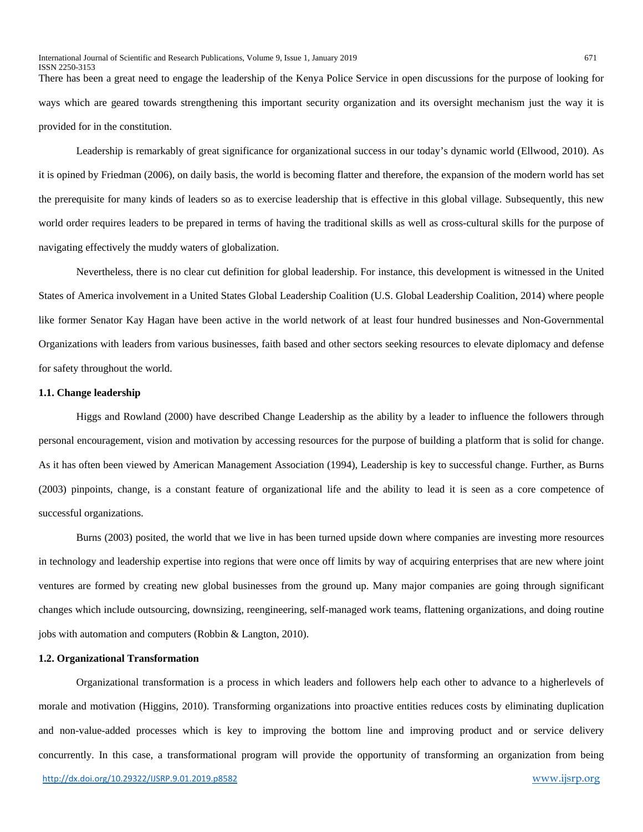There has been a great need to engage the leadership of the Kenya Police Service in open discussions for the purpose of looking for ways which are geared towards strengthening this important security organization and its oversight mechanism just the way it is provided for in the constitution.

Leadership is remarkably of great significance for organizational success in our today's dynamic world (Ellwood, 2010). As it is opined by Friedman (2006), on daily basis, the world is becoming flatter and therefore, the expansion of the modern world has set the prerequisite for many kinds of leaders so as to exercise leadership that is effective in this global village. Subsequently, this new world order requires leaders to be prepared in terms of having the traditional skills as well as cross-cultural skills for the purpose of navigating effectively the muddy waters of globalization.

Nevertheless, there is no clear cut definition for global leadership. For instance, this development is witnessed in the United States of America involvement in a United States Global Leadership Coalition (U.S. Global Leadership Coalition, 2014) where people like former Senator Kay Hagan have been active in the world network of at least four hundred businesses and Non-Governmental Organizations with leaders from various businesses, faith based and other sectors seeking resources to elevate diplomacy and defense for safety throughout the world.

## **1.1. Change leadership**

Higgs and Rowland (2000) have described Change Leadership as the ability by a leader to influence the followers through personal encouragement, vision and motivation by accessing resources for the purpose of building a platform that is solid for change. As it has often been viewed by American Management Association (1994), Leadership is key to successful change. Further, as Burns (2003) pinpoints, change, is a constant feature of organizational life and the ability to lead it is seen as a core competence of successful organizations.

Burns (2003) posited, the world that we live in has been turned upside down where companies are investing more resources in technology and leadership expertise into regions that were once off limits by way of acquiring enterprises that are new where joint ventures are formed by creating new global businesses from the ground up. Many major companies are going through significant changes which include outsourcing, downsizing, reengineering, self-managed work teams, flattening organizations, and doing routine jobs with automation and computers (Robbin & Langton, 2010).

## **1.2. Organizational Transformation**

Organizational transformation is a process in which leaders and followers help each other to advance to a higherlevels of morale and motivation (Higgins, 2010). Transforming organizations into proactive entities reduces costs by eliminating duplication and non-value-added processes which is key to improving the bottom line and improving product and or service delivery concurrently. In this case, a transformational program will provide the opportunity of transforming an organization from being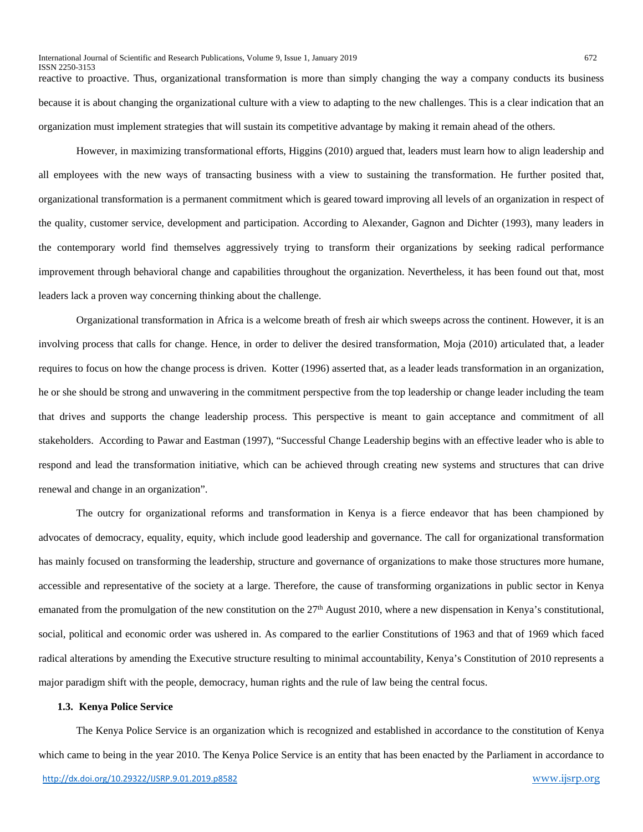reactive to proactive. Thus, organizational transformation is more than simply changing the way a company conducts its business because it is about changing the organizational culture with a view to adapting to the new challenges. This is a clear indication that an organization must implement strategies that will sustain its competitive advantage by making it remain ahead of the others.

However, in maximizing transformational efforts, Higgins (2010) argued that, leaders must learn how to align leadership and all employees with the new ways of transacting business with a view to sustaining the transformation. He further posited that, organizational transformation is a permanent commitment which is geared toward improving all levels of an organization in respect of the quality, customer service, development and participation. According to Alexander, Gagnon and Dichter (1993), many leaders in the contemporary world find themselves aggressively trying to transform their organizations by seeking radical performance improvement through behavioral change and capabilities throughout the organization. Nevertheless, it has been found out that, most leaders lack a proven way concerning thinking about the challenge.

Organizational transformation in Africa is a welcome breath of fresh air which sweeps across the continent. However, it is an involving process that calls for change. Hence, in order to deliver the desired transformation, Moja (2010) articulated that, a leader requires to focus on how the change process is driven. Kotter (1996) asserted that, as a leader leads transformation in an organization, he or she should be strong and unwavering in the commitment perspective from the top leadership or change leader including the team that drives and supports the change leadership process. This perspective is meant to gain acceptance and commitment of all stakeholders. According to Pawar and Eastman (1997), "Successful Change Leadership begins with an effective leader who is able to respond and lead the transformation initiative, which can be achieved through creating new systems and structures that can drive renewal and change in an organization".

The outcry for organizational reforms and transformation in Kenya is a fierce endeavor that has been championed by advocates of democracy, equality, equity, which include good leadership and governance. The call for organizational transformation has mainly focused on transforming the leadership, structure and governance of organizations to make those structures more humane, accessible and representative of the society at a large. Therefore, the cause of transforming organizations in public sector in Kenya emanated from the promulgation of the new constitution on the 27<sup>th</sup> August 2010, where a new dispensation in Kenya's constitutional, social, political and economic order was ushered in. As compared to the earlier Constitutions of 1963 and that of 1969 which faced radical alterations by amending the Executive structure resulting to minimal accountability, Kenya's Constitution of 2010 represents a major paradigm shift with the people, democracy, human rights and the rule of law being the central focus.

### **1.3. Kenya Police Service**

The Kenya Police Service is an organization which is recognized and established in accordance to the constitution of Kenya which came to being in the year 2010. The Kenya Police Service is an entity that has been enacted by the Parliament in accordance to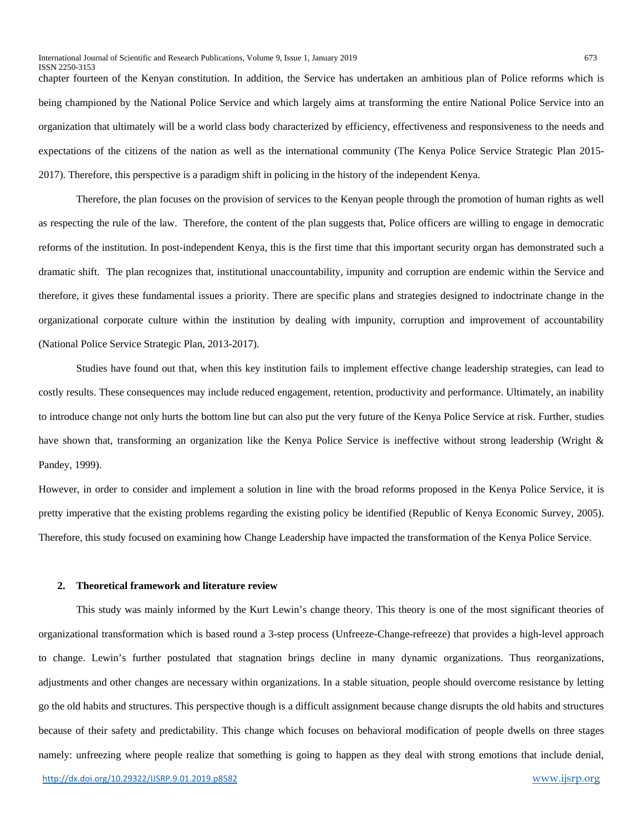chapter fourteen of the Kenyan constitution. In addition, the Service has undertaken an ambitious plan of Police reforms which is being championed by the National Police Service and which largely aims at transforming the entire National Police Service into an organization that ultimately will be a world class body characterized by efficiency, effectiveness and responsiveness to the needs and expectations of the citizens of the nation as well as the international community (The Kenya Police Service Strategic Plan 2015- 2017). Therefore, this perspective is a paradigm shift in policing in the history of the independent Kenya.

Therefore, the plan focuses on the provision of services to the Kenyan people through the promotion of human rights as well as respecting the rule of the law. Therefore, the content of the plan suggests that, Police officers are willing to engage in democratic reforms of the institution. In post-independent Kenya, this is the first time that this important security organ has demonstrated such a dramatic shift. The plan recognizes that, institutional unaccountability, impunity and corruption are endemic within the Service and therefore, it gives these fundamental issues a priority. There are specific plans and strategies designed to indoctrinate change in the organizational corporate culture within the institution by dealing with impunity, corruption and improvement of accountability (National Police Service Strategic Plan, 2013-2017).

Studies have found out that, when this key institution fails to implement effective change leadership strategies, can lead to costly results. These consequences may include reduced engagement, retention, productivity and performance. Ultimately, an inability to introduce change not only hurts the bottom line but can also put the very future of the Kenya Police Service at risk. Further, studies have shown that, transforming an organization like the Kenya Police Service is ineffective without strong leadership (Wright & Pandey, 1999).

However, in order to consider and implement a solution in line with the broad reforms proposed in the Kenya Police Service, it is pretty imperative that the existing problems regarding the existing policy be identified (Republic of Kenya Economic Survey, 2005). Therefore, this study focused on examining how Change Leadership have impacted the transformation of the Kenya Police Service.

## **2. Theoretical framework and literature review**

This study was mainly informed by the Kurt Lewin's change theory. This theory is one of the most significant theories of organizational transformation which is based round a 3-step process (Unfreeze-Change-refreeze) that provides a high-level approach to change. Lewin's further postulated that stagnation brings decline in many dynamic organizations. Thus reorganizations, adjustments and other changes are necessary within organizations. In a stable situation, people should overcome resistance by letting go the old habits and structures. This perspective though is a difficult assignment because change disrupts the old habits and structures because of their safety and predictability. This change which focuses on behavioral modification of people dwells on three stages namely: unfreezing where people realize that something is going to happen as they deal with strong emotions that include denial,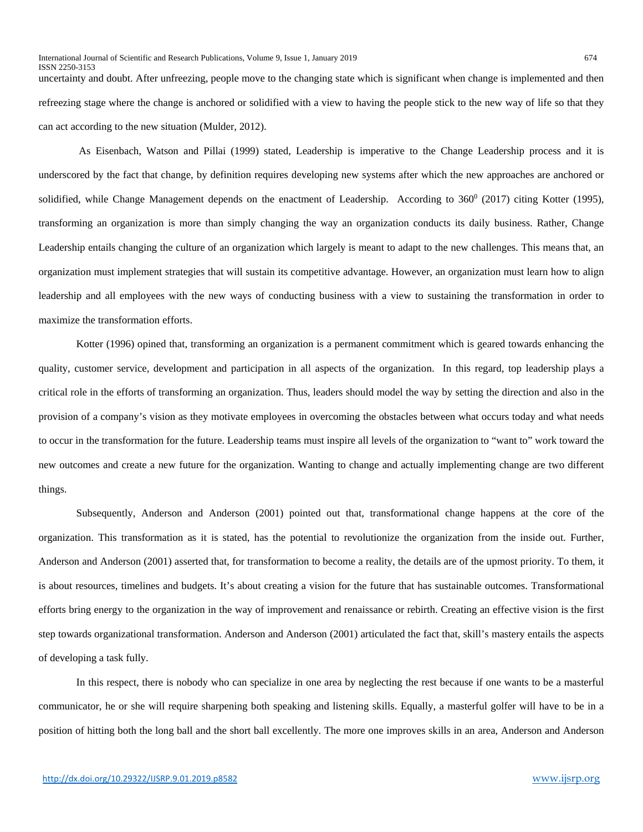uncertainty and doubt. After unfreezing, people move to the changing state which is significant when change is implemented and then refreezing stage where the change is anchored or solidified with a view to having the people stick to the new way of life so that they can act according to the new situation (Mulder, 2012).

As Eisenbach, Watson and Pillai (1999) stated, Leadership is imperative to the Change Leadership process and it is underscored by the fact that change, by definition requires developing new systems after which the new approaches are anchored or solidified, while Change Management depends on the enactment of Leadership. According to  $360^{\circ}$  (2017) citing Kotter (1995), transforming an organization is more than simply changing the way an organization conducts its daily business. Rather, Change Leadership entails changing the culture of an organization which largely is meant to adapt to the new challenges. This means that, an organization must implement strategies that will sustain its competitive advantage. However, an organization must learn how to align leadership and all employees with the new ways of conducting business with a view to sustaining the transformation in order to maximize the transformation efforts.

Kotter (1996) opined that, transforming an organization is a permanent commitment which is geared towards enhancing the quality, customer service, development and participation in all aspects of the organization. In this regard, top leadership plays a critical role in the efforts of transforming an organization. Thus, leaders should model the way by setting the direction and also in the provision of a company's vision as they motivate employees in overcoming the obstacles between what occurs today and what needs to occur in the transformation for the future. Leadership teams must inspire all levels of the organization to "want to" work toward the new outcomes and create a new future for the organization. Wanting to change and actually implementing change are two different things.

Subsequently, Anderson and Anderson (2001) pointed out that, transformational change happens at the core of the organization. This transformation as it is stated, has the potential to revolutionize the organization from the inside out. Further, Anderson and Anderson (2001) asserted that, for transformation to become a reality, the details are of the upmost priority. To them, it is about resources, timelines and budgets. It's about creating a vision for the future that has sustainable outcomes. Transformational efforts bring energy to the organization in the way of improvement and renaissance or rebirth. Creating an effective vision is the first step towards organizational transformation. Anderson and Anderson (2001) articulated the fact that, skill's mastery entails the aspects of developing a task fully.

In this respect, there is nobody who can specialize in one area by neglecting the rest because if one wants to be a masterful communicator, he or she will require sharpening both speaking and listening skills. Equally, a masterful golfer will have to be in a position of hitting both the long ball and the short ball excellently. The more one improves skills in an area, Anderson and Anderson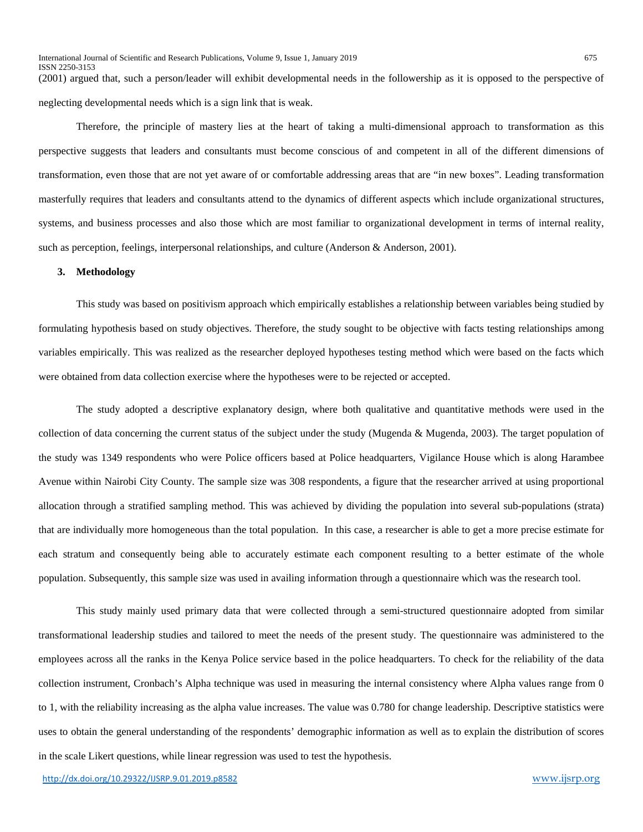(2001) argued that, such a person/leader will exhibit developmental needs in the followership as it is opposed to the perspective of neglecting developmental needs which is a sign link that is weak.

Therefore, the principle of mastery lies at the heart of taking a multi-dimensional approach to transformation as this perspective suggests that leaders and consultants must become conscious of and competent in all of the different dimensions of transformation, even those that are not yet aware of or comfortable addressing areas that are "in new boxes". Leading transformation masterfully requires that leaders and consultants attend to the dynamics of different aspects which include organizational structures, systems, and business processes and also those which are most familiar to organizational development in terms of internal reality, such as perception, feelings, interpersonal relationships, and culture (Anderson & Anderson, 2001).

## **3. Methodology**

This study was based on positivism approach which empirically establishes a relationship between variables being studied by formulating hypothesis based on study objectives. Therefore, the study sought to be objective with facts testing relationships among variables empirically. This was realized as the researcher deployed hypotheses testing method which were based on the facts which were obtained from data collection exercise where the hypotheses were to be rejected or accepted.

The study adopted a descriptive explanatory design, where both qualitative and quantitative methods were used in the collection of data concerning the current status of the subject under the study (Mugenda & Mugenda, 2003). The target population of the study was 1349 respondents who were Police officers based at Police headquarters, Vigilance House which is along Harambee Avenue within Nairobi City County. The sample size was 308 respondents, a figure that the researcher arrived at using proportional allocation through a stratified sampling method. This was achieved by dividing the population into several sub-populations (strata) that are individually more homogeneous than the total population. In this case, a researcher is able to get a more precise estimate for each stratum and consequently being able to accurately estimate each component resulting to a better estimate of the whole population. Subsequently, this sample size was used in availing information through a questionnaire which was the research tool.

This study mainly used primary data that were collected through a semi-structured questionnaire adopted from similar transformational leadership studies and tailored to meet the needs of the present study. The questionnaire was administered to the employees across all the ranks in the Kenya Police service based in the police headquarters. To check for the reliability of the data collection instrument, Cronbach's Alpha technique was used in measuring the internal consistency where Alpha values range from 0 to 1, with the reliability increasing as the alpha value increases. The value was 0.780 for change leadership. Descriptive statistics were uses to obtain the general understanding of the respondents' demographic information as well as to explain the distribution of scores in the scale Likert questions, while linear regression was used to test the hypothesis.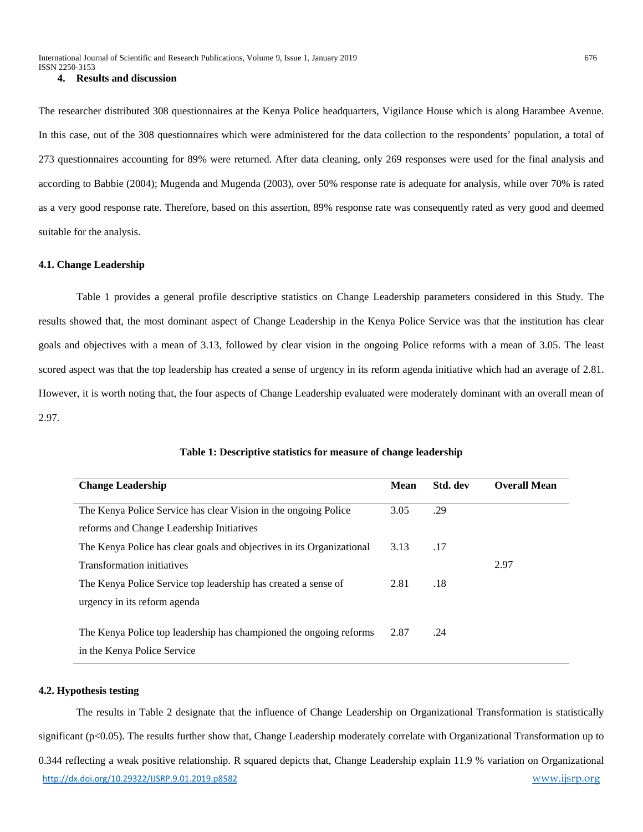# **4. Results and discussion**

The researcher distributed 308 questionnaires at the Kenya Police headquarters, Vigilance House which is along Harambee Avenue. In this case, out of the 308 questionnaires which were administered for the data collection to the respondents' population, a total of 273 questionnaires accounting for 89% were returned. After data cleaning, only 269 responses were used for the final analysis and according to Babbie (2004); Mugenda and Mugenda (2003), over 50% response rate is adequate for analysis, while over 70% is rated as a very good response rate. Therefore, based on this assertion, 89% response rate was consequently rated as very good and deemed suitable for the analysis.

## **4.1. Change Leadership**

Table 1 provides a general profile descriptive statistics on Change Leadership parameters considered in this Study. The results showed that, the most dominant aspect of Change Leadership in the Kenya Police Service was that the institution has clear goals and objectives with a mean of 3.13, followed by clear vision in the ongoing Police reforms with a mean of 3.05. The least scored aspect was that the top leadership has created a sense of urgency in its reform agenda initiative which had an average of 2.81. However, it is worth noting that, the four aspects of Change Leadership evaluated were moderately dominant with an overall mean of 2.97.

| <b>Change Leadership</b>                                              | <b>Mean</b> | Std. dev | <b>Overall Mean</b> |
|-----------------------------------------------------------------------|-------------|----------|---------------------|
| The Kenya Police Service has clear Vision in the ongoing Police       | 3.05        | .29      |                     |
| reforms and Change Leadership Initiatives                             |             |          |                     |
| The Kenya Police has clear goals and objectives in its Organizational | 3.13        | .17      |                     |
| Transformation initiatives                                            |             |          | 2.97                |
| The Kenya Police Service top leadership has created a sense of        | 2.81        | .18      |                     |
| urgency in its reform agenda                                          |             |          |                     |
|                                                                       |             |          |                     |
| The Kenya Police top leadership has championed the ongoing reforms    | 2.87        | .24      |                     |
| in the Kenya Police Service                                           |             |          |                     |

### **Table 1: Descriptive statistics for measure of change leadership**

## **4.2. Hypothesis testing**

<http://dx.doi.org/10.29322/IJSRP.9.01.2019.p8582> [www.ijsrp.org](http://ijsrp.org/) The results in Table 2 designate that the influence of Change Leadership on Organizational Transformation is statistically significant (p<0.05). The results further show that, Change Leadership moderately correlate with Organizational Transformation up to 0.344 reflecting a weak positive relationship. R squared depicts that, Change Leadership explain 11.9 % variation on Organizational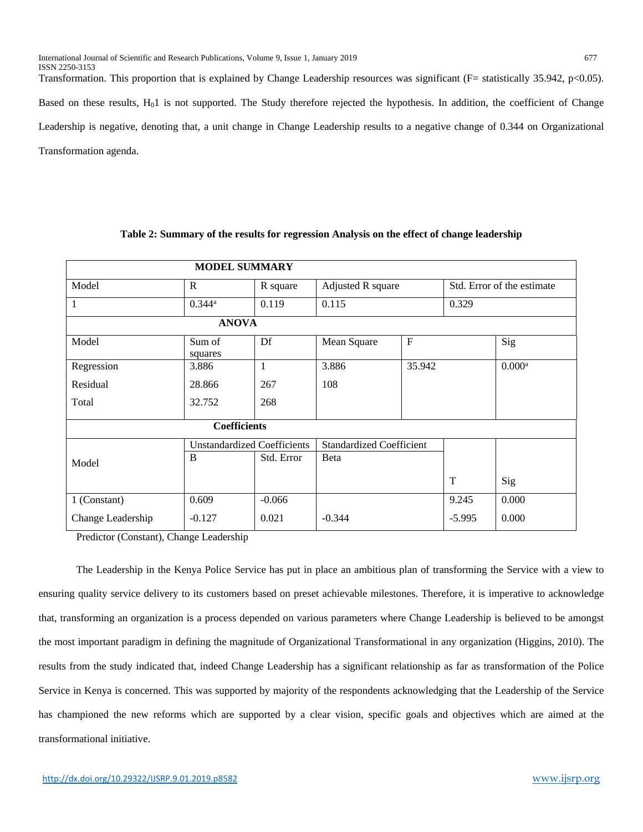Transformation. This proportion that is explained by Change Leadership resources was significant (F= statistically 35.942, p<0.05). Based on these results, H01 is not supported. The Study therefore rejected the hypothesis. In addition, the coefficient of Change Leadership is negative, denoting that, a unit change in Change Leadership results to a negative change of 0.344 on Organizational Transformation agenda.

| <b>MODEL SUMMARY</b> |                                    |            |                                 |              |                            |                 |  |  |  |
|----------------------|------------------------------------|------------|---------------------------------|--------------|----------------------------|-----------------|--|--|--|
| Model                | $\mathbb{R}$                       | R square   | Adjusted R square               |              | Std. Error of the estimate |                 |  |  |  |
| 1                    | $0.344$ <sup>a</sup>               | 0.119      | 0.115                           |              | 0.329                      |                 |  |  |  |
| <b>ANOVA</b>         |                                    |            |                                 |              |                            |                 |  |  |  |
| Model                | Sum of<br>squares                  | Df         | Mean Square                     | $\mathbf{F}$ |                            | Sig             |  |  |  |
| Regression           | 3.886                              | 1          | 3.886                           | 35.942       |                            | $0.000^{\rm a}$ |  |  |  |
| Residual             | 28.866                             | 267        | 108                             |              |                            |                 |  |  |  |
| Total                | 32.752                             | 268        |                                 |              |                            |                 |  |  |  |
| <b>Coefficients</b>  |                                    |            |                                 |              |                            |                 |  |  |  |
|                      | <b>Unstandardized Coefficients</b> |            | <b>Standardized Coefficient</b> |              |                            |                 |  |  |  |
| Model                | B                                  | Std. Error | Beta                            |              |                            |                 |  |  |  |
|                      |                                    |            |                                 |              | T                          | Sig             |  |  |  |
| 1 (Constant)         | 0.609                              | $-0.066$   |                                 |              | 9.245                      | 0.000           |  |  |  |
| Change Leadership    | $-0.127$                           | 0.021      | $-0.344$                        |              | $-5.995$                   | 0.000           |  |  |  |

## **Table 2: Summary of the results for regression Analysis on the effect of change leadership**

Predictor (Constant), Change Leadership

The Leadership in the Kenya Police Service has put in place an ambitious plan of transforming the Service with a view to ensuring quality service delivery to its customers based on preset achievable milestones. Therefore, it is imperative to acknowledge that, transforming an organization is a process depended on various parameters where Change Leadership is believed to be amongst the most important paradigm in defining the magnitude of Organizational Transformational in any organization (Higgins, 2010). The results from the study indicated that, indeed Change Leadership has a significant relationship as far as transformation of the Police Service in Kenya is concerned. This was supported by majority of the respondents acknowledging that the Leadership of the Service has championed the new reforms which are supported by a clear vision, specific goals and objectives which are aimed at the transformational initiative.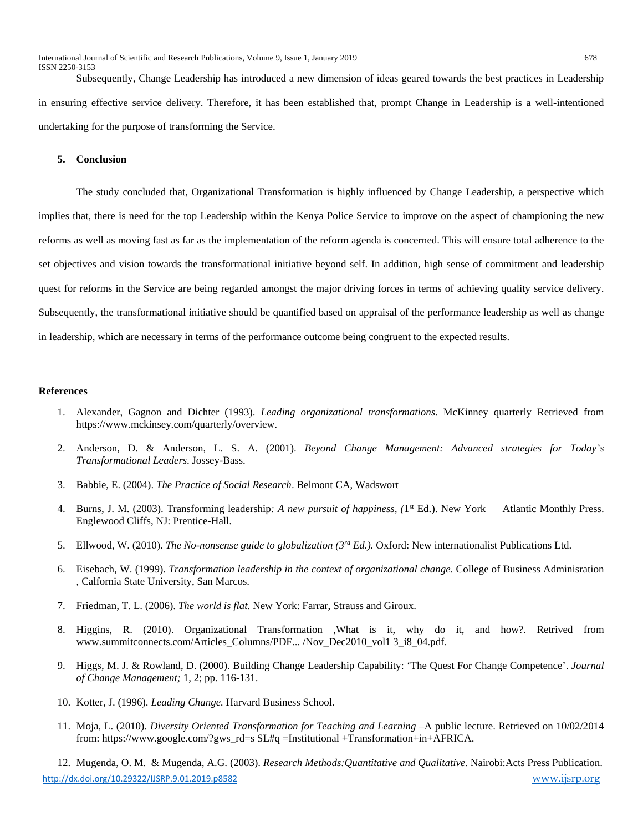International Journal of Scientific and Research Publications, Volume 9, Issue 1, January 2019 678 ISSN 2250-3153

Subsequently, Change Leadership has introduced a new dimension of ideas geared towards the best practices in Leadership in ensuring effective service delivery. Therefore, it has been established that, prompt Change in Leadership is a well-intentioned undertaking for the purpose of transforming the Service.

## **5. Conclusion**

The study concluded that, Organizational Transformation is highly influenced by Change Leadership, a perspective which implies that, there is need for the top Leadership within the Kenya Police Service to improve on the aspect of championing the new reforms as well as moving fast as far as the implementation of the reform agenda is concerned. This will ensure total adherence to the set objectives and vision towards the transformational initiative beyond self. In addition, high sense of commitment and leadership quest for reforms in the Service are being regarded amongst the major driving forces in terms of achieving quality service delivery. Subsequently, the transformational initiative should be quantified based on appraisal of the performance leadership as well as change in leadership, which are necessary in terms of the performance outcome being congruent to the expected results.

## **References**

- 1. Alexander, Gagnon and Dichter (1993). *Leading organizational transformations*. McKinney quarterly Retrieved from https://www.mckinsey.com/quarterly/overview.
- 2. Anderson, D. & Anderson, L. S. A. (2001). *Beyond Change Management: Advanced strategies for Today's Transformational Leaders*. Jossey-Bass.
- 3. Babbie, E. (2004). *The Practice of Social Research*. Belmont CA, Wadswort
- 4. Burns, J. M. (2003). Transforming leadership*: A new pursuit of happiness, (*1st Ed.). New YorkAtlantic Monthly Press. Englewood Cliffs, NJ: Prentice-Hall.
- 5. Ellwood, W. (2010). *The No-nonsense guide to globalization (3rd Ed.).* Oxford: New internationalist Publications Ltd.
- 6. Eisebach, W. (1999). *Transformation leadership in the context of organizational change*. College of Business Adminisration , Calfornia State University, San Marcos.
- 7. Friedman, T. L. (2006). *The world is flat*. New York: Farrar, Strauss and Giroux.
- 8. Higgins, R. (2010). Organizational Transformation ,What is it, why do it, and how?. Retrived from www.summitconnects.com/Articles\_Columns/PDF... /Nov\_Dec2010\_vol1 3\_i8\_04.pdf.
- 9. Higgs, M. J. & Rowland, D. (2000). Building Change Leadership Capability: 'The Quest For Change Competence'. *Journal of Change Management;* 1, 2; pp. 116-131.
- 10. Kotter, J. (1996). *Leading Change.* Harvard Business School.
- 11. Moja, L. (2010). *Diversity Oriented Transformation for Teaching and Learning* –A public lecture. Retrieved on 10/02/2014 from: https://www.google.com/?gws\_rd=s SL#q =Institutional +Transformation+in+AFRICA.

<http://dx.doi.org/10.29322/IJSRP.9.01.2019.p8582> [www.ijsrp.org](http://ijsrp.org/) 12. Mugenda, O. M. & Mugenda, A.G. (2003). *Research Methods:Quantitative and Qualitative.* Nairobi:Acts Press Publication.